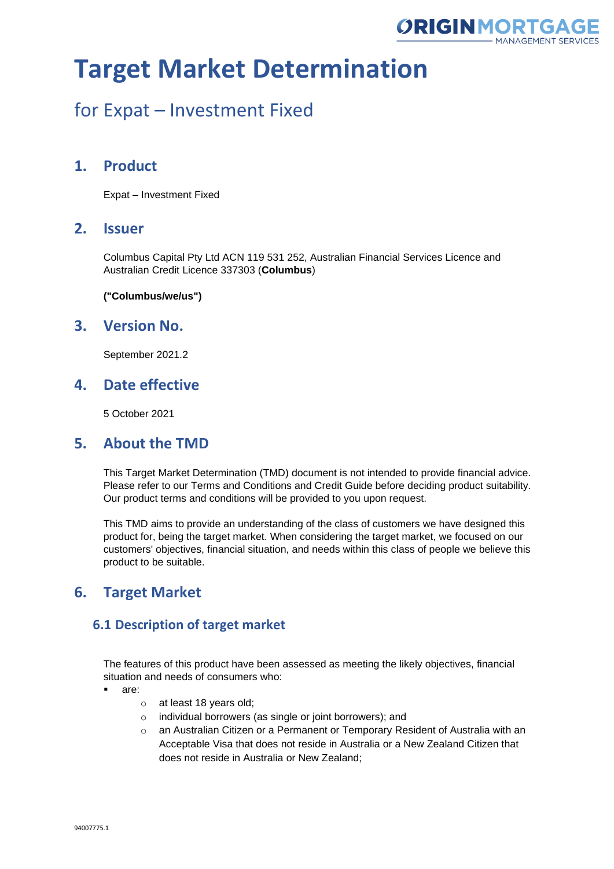

### for Expat – Investment Fixed

### **1. Product**

Expat – Investment Fixed

#### **2. Issuer**

Columbus Capital Pty Ltd ACN 119 531 252, Australian Financial Services Licence and Australian Credit Licence 337303 (**Columbus**)

**("Columbus/we/us")**

### **3. Version No.**

September 2021.2

### **4. Date effective**

5 October 2021

### **5. About the TMD**

This Target Market Determination (TMD) document is not intended to provide financial advice. Please refer to our Terms and Conditions and Credit Guide before deciding product suitability. Our product terms and conditions will be provided to you upon request.

This TMD aims to provide an understanding of the class of customers we have designed this product for, being the target market. When considering the target market, we focused on our customers' objectives, financial situation, and needs within this class of people we believe this product to be suitable.

### **6. Target Market**

#### **6.1 Description of target market**

The features of this product have been assessed as meeting the likely objectives, financial situation and needs of consumers who:

- are:
	- o at least 18 years old;
	- o individual borrowers (as single or joint borrowers); and
	- $\circ$  an Australian Citizen or a Permanent or Temporary Resident of Australia with an Acceptable Visa that does not reside in Australia or a New Zealand Citizen that does not reside in Australia or New Zealand;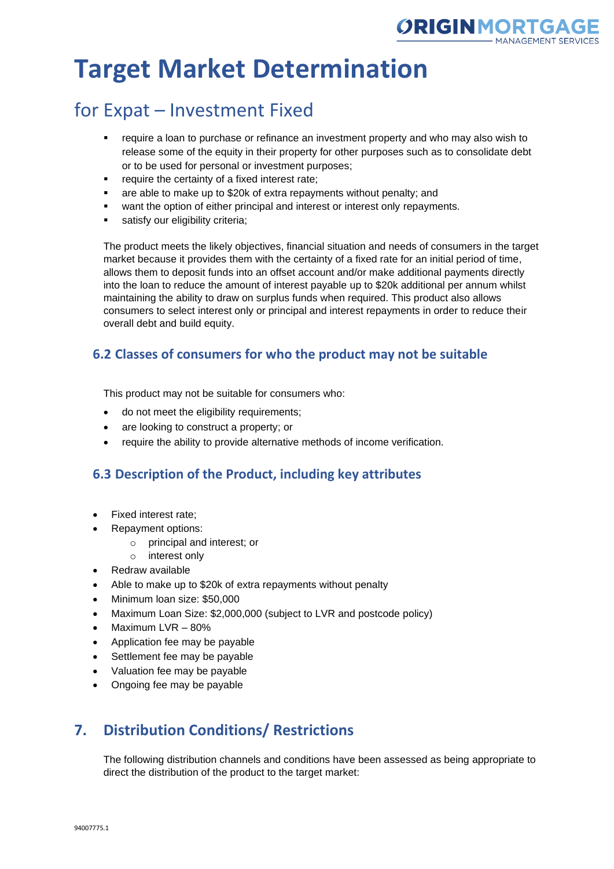

### for Expat – Investment Fixed

- require a loan to purchase or refinance an investment property and who may also wish to release some of the equity in their property for other purposes such as to consolidate debt or to be used for personal or investment purposes;
- require the certainty of a fixed interest rate:
- are able to make up to \$20k of extra repayments without penalty; and
- want the option of either principal and interest or interest only repayments.
- satisfy our eligibility criteria;

The product meets the likely objectives, financial situation and needs of consumers in the target market because it provides them with the certainty of a fixed rate for an initial period of time, allows them to deposit funds into an offset account and/or make additional payments directly into the loan to reduce the amount of interest payable up to \$20k additional per annum whilst maintaining the ability to draw on surplus funds when required. This product also allows consumers to select interest only or principal and interest repayments in order to reduce their overall debt and build equity.

### **6.2 Classes of consumers for who the product may not be suitable**

This product may not be suitable for consumers who:

- do not meet the eligibility requirements;
- are looking to construct a property; or
- require the ability to provide alternative methods of income verification.

#### **6.3 Description of the Product, including key attributes**

- Fixed interest rate;
- Repayment options:
	- o principal and interest; or
	- o interest only
- Redraw available
- Able to make up to \$20k of extra repayments without penalty
- Minimum loan size: \$50,000
- Maximum Loan Size: \$2,000,000 (subject to LVR and postcode policy)
- Maximum LVR 80%
- Application fee may be payable
- Settlement fee may be payable
- Valuation fee may be payable
- Ongoing fee may be payable

### **7. Distribution Conditions/ Restrictions**

The following distribution channels and conditions have been assessed as being appropriate to direct the distribution of the product to the target market: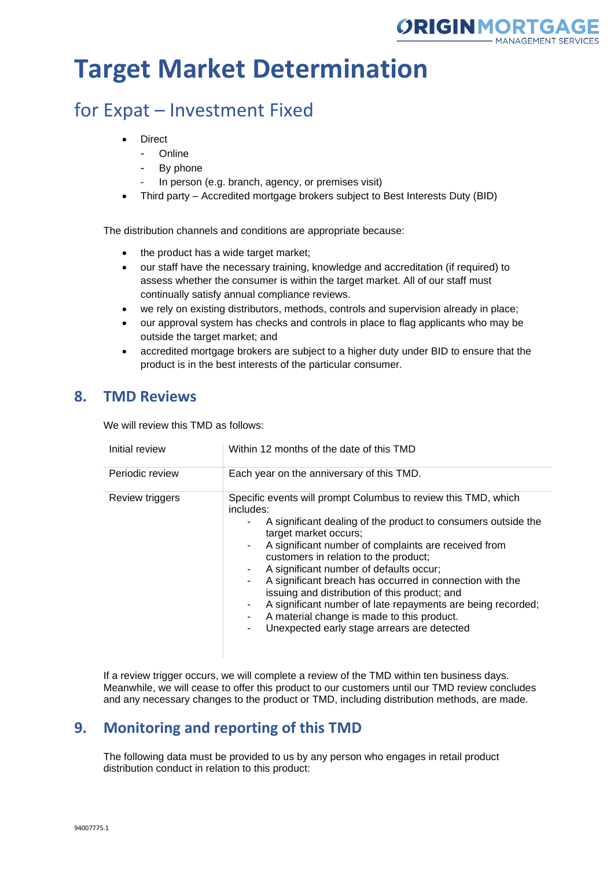

### for Expat – Investment Fixed

- **Direct** 
	- Online
	- By phone
	- In person (e.g. branch, agency, or premises visit)
- Third party Accredited mortgage brokers subject to Best Interests Duty (BID)

The distribution channels and conditions are appropriate because:

- the product has a wide target market;
- our staff have the necessary training, knowledge and accreditation (if required) to assess whether the consumer is within the target market. All of our staff must continually satisfy annual compliance reviews.
- we rely on existing distributors, methods, controls and supervision already in place;
- our approval system has checks and controls in place to flag applicants who may be outside the target market; and
- accredited mortgage brokers are subject to a higher duty under BID to ensure that the product is in the best interests of the particular consumer.

### **8. TMD Reviews**

We will review this TMD as follows:

| Initial review  | Within 12 months of the date of this TMD                                                                                                                                                                                                                                                                                                                                                                                                                                                                                                                                                         |
|-----------------|--------------------------------------------------------------------------------------------------------------------------------------------------------------------------------------------------------------------------------------------------------------------------------------------------------------------------------------------------------------------------------------------------------------------------------------------------------------------------------------------------------------------------------------------------------------------------------------------------|
| Periodic review | Each year on the anniversary of this TMD.                                                                                                                                                                                                                                                                                                                                                                                                                                                                                                                                                        |
| Review triggers | Specific events will prompt Columbus to review this TMD, which<br>includes:<br>A significant dealing of the product to consumers outside the<br>target market occurs;<br>A significant number of complaints are received from<br>customers in relation to the product;<br>A significant number of defaults occur;<br>A significant breach has occurred in connection with the<br>issuing and distribution of this product; and<br>A significant number of late repayments are being recorded;<br>A material change is made to this product.<br>Unexpected early stage arrears are detected<br>٠. |

If a review trigger occurs, we will complete a review of the TMD within ten business days. Meanwhile, we will cease to offer this product to our customers until our TMD review concludes and any necessary changes to the product or TMD, including distribution methods, are made.

### **9. Monitoring and reporting of this TMD**

The following data must be provided to us by any person who engages in retail product distribution conduct in relation to this product: